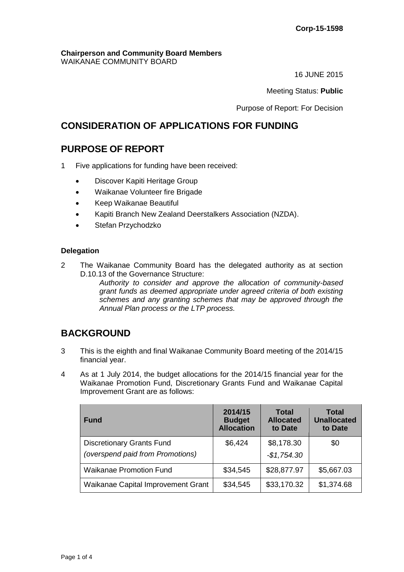#### **Chairperson and Community Board Members** WAIKANAE COMMUNITY BOARD

16 JUNE 2015

Meeting Status: **Public**

Purpose of Report: For Decision

# **CONSIDERATION OF APPLICATIONS FOR FUNDING**

# **PURPOSE OF REPORT**

- 1 Five applications for funding have been received:
	- Discover Kapiti Heritage Group
	- Waikanae Volunteer fire Brigade
	- Keep Waikanae Beautiful
	- Kapiti Branch New Zealand Deerstalkers Association (NZDA).
	- Stefan Przychodzko

#### **Delegation**

2 The Waikanae Community Board has the delegated authority as at section D.10.13 of the Governance Structure:

*Authority to consider and approve the allocation of community-based grant funds as deemed appropriate under agreed criteria of both existing schemes and any granting schemes that may be approved through the Annual Plan process or the LTP process.* 

# **BACKGROUND**

- 3 This is the eighth and final Waikanae Community Board meeting of the 2014/15 financial year.
- 4 As at 1 July 2014, the budget allocations for the 2014/15 financial year for the Waikanae Promotion Fund, Discretionary Grants Fund and Waikanae Capital Improvement Grant are as follows:

| <b>Fund</b>                                                          | 2014/15<br><b>Budget</b><br><b>Allocation</b> | <b>Total</b><br><b>Allocated</b><br>to Date | <b>Total</b><br><b>Unallocated</b><br>to Date |
|----------------------------------------------------------------------|-----------------------------------------------|---------------------------------------------|-----------------------------------------------|
| <b>Discretionary Grants Fund</b><br>(overspend paid from Promotions) | \$6,424                                       | \$8,178.30<br>$-$1,754.30$                  | \$0                                           |
| <b>Waikanae Promotion Fund</b>                                       | \$34,545                                      | \$28,877.97                                 | \$5,667.03                                    |
| Waikanae Capital Improvement Grant                                   | \$34,545                                      | \$33,170.32                                 | \$1,374.68                                    |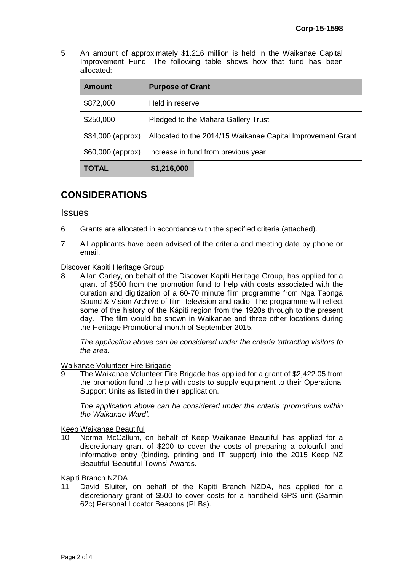5 An amount of approximately \$1.216 million is held in the Waikanae Capital Improvement Fund. The following table shows how that fund has been allocated:

| <b>Amount</b>      | <b>Purpose of Grant</b>                                     |  |  |
|--------------------|-------------------------------------------------------------|--|--|
| \$872,000          | Held in reserve                                             |  |  |
| \$250,000          | Pledged to the Mahara Gallery Trust                         |  |  |
| $$34,000$ (approx) | Allocated to the 2014/15 Waikanae Capital Improvement Grant |  |  |
| \$60,000 (approx)  | Increase in fund from previous year                         |  |  |
| <b>TOTAL</b>       | \$1,216,000                                                 |  |  |

# **CONSIDERATIONS**

#### **Issues**

- 6 Grants are allocated in accordance with the specified criteria (attached).
- 7 All applicants have been advised of the criteria and meeting date by phone or email.

#### Discover Kapiti Heritage Group

8 Allan Carley, on behalf of the Discover Kapiti Heritage Group, has applied for a grant of \$500 from the promotion fund to help with costs associated with the curation and digitization of a 60-70 minute film programme from Nga Taonga Sound & Vision Archive of film, television and radio. The programme will reflect some of the history of the Kāpiti region from the 1920s through to the present day. The film would be shown in Waikanae and three other locations during the Heritage Promotional month of September 2015.

*The application above can be considered under the criteria 'attracting visitors to the area.*

#### Waikanae Volunteer Fire Brigade

The Waikanae Volunteer Fire Brigade has applied for a grant of \$2,422.05 from the promotion fund to help with costs to supply equipment to their Operational Support Units as listed in their application.

*The application above can be considered under the criteria 'promotions within the Waikanae Ward'.*

Keep Waikanae Beautiful

10 Norma McCallum, on behalf of Keep Waikanae Beautiful has applied for a discretionary grant of \$200 to cover the costs of preparing a colourful and informative entry (binding, printing and IT support) into the 2015 Keep NZ Beautiful 'Beautiful Towns' Awards.

Kapiti Branch NZDA

11 David Sluiter, on behalf of the Kapiti Branch NZDA, has applied for a discretionary grant of \$500 to cover costs for a handheld GPS unit (Garmin 62c) Personal Locator Beacons (PLBs).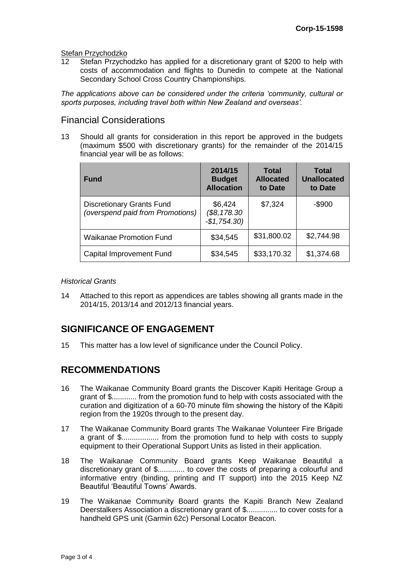# Stefan Przychodzko<br>12 Stefan Przycho

Stefan Przychodzko has applied for a discretionary grant of \$200 to help with costs of accommodation and flights to Dunedin to compete at the National Secondary School Cross Country Championships.

*The applications above can be considered under the criteria 'community, cultural or sports purposes, including travel both within New Zealand and overseas'.*

### Financial Considerations

13 Should all grants for consideration in this report be approved in the budgets (maximum \$500 with discretionary grants) for the remainder of the 2014/15 financial year will be as follows:

| <b>Fund</b>                                                          | 2014/15<br><b>Budget</b><br><b>Allocation</b> | <b>Total</b><br><b>Allocated</b><br>to Date | Total<br><b>Unallocated</b><br>to Date |
|----------------------------------------------------------------------|-----------------------------------------------|---------------------------------------------|----------------------------------------|
| <b>Discretionary Grants Fund</b><br>(overspend paid from Promotions) | \$6,424<br>\$8,178.30<br>$-$1,754.30$         | \$7,324                                     | $-$ \$900                              |
| <b>Waikanae Promotion Fund</b>                                       | \$34,545                                      | \$31,800.02                                 | \$2,744.98                             |
| Capital Improvement Fund                                             | \$34,545                                      | \$33,170.32                                 | \$1,374.68                             |

#### *Historical Grants*

14 Attached to this report as appendices are tables showing all grants made in the 2014/15, 2013/14 and 2012/13 financial years.

# **SIGNIFICANCE OF ENGAGEMENT**

15 This matter has a low level of significance under the Council Policy.

## **RECOMMENDATIONS**

- 16 The Waikanae Community Board grants the Discover Kapiti Heritage Group a grant of \$............ from the promotion fund to help with costs associated with the curation and digitization of a 60-70 minute film showing the history of the Kāpiti region from the 1920s through to the present day.
- 17 The Waikanae Community Board grants The Waikanae Volunteer Fire Brigade a grant of \$.................. from the promotion fund to help with costs to supply equipment to their Operational Support Units as listed in their application.
- 18 The Waikanae Community Board grants Keep Waikanae Beautiful a discretionary grant of \$............. to cover the costs of preparing a colourful and informative entry (binding, printing and IT support) into the 2015 Keep NZ Beautiful 'Beautiful Towns' Awards.
- 19 The Waikanae Community Board grants the Kapiti Branch New Zealand Deerstalkers Association a discretionary grant of \$............... to cover costs for a handheld GPS unit (Garmin 62c) Personal Locator Beacon.